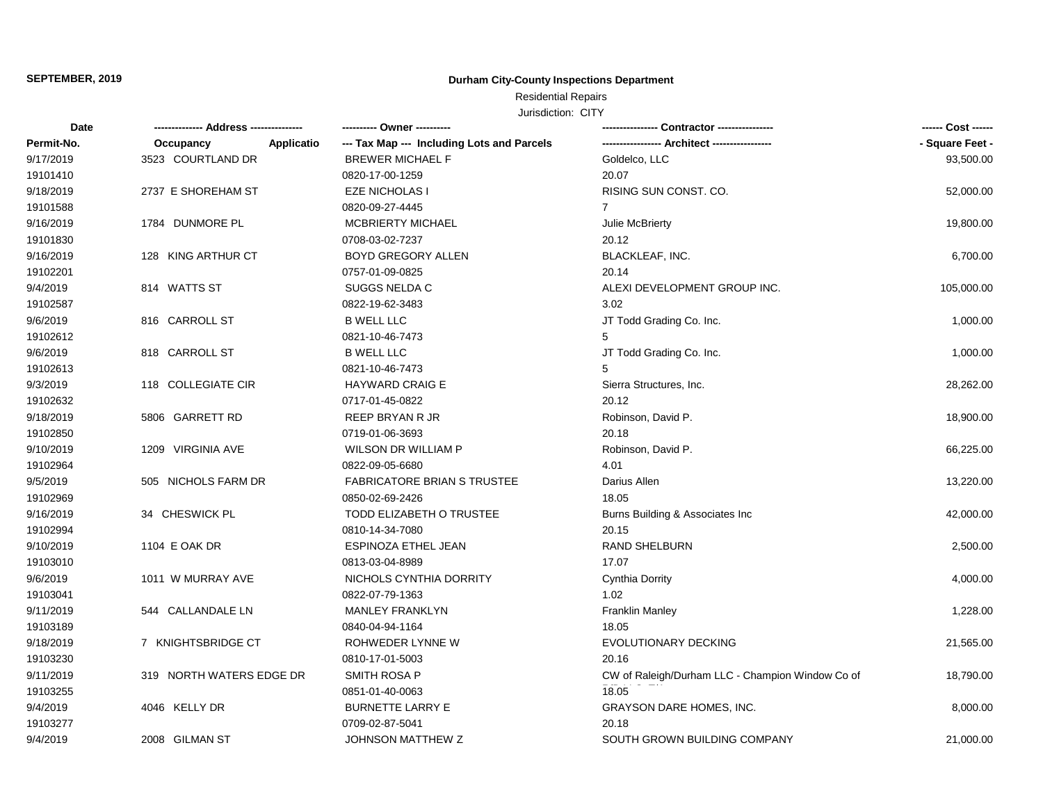### **Durham City-County Inspections Department**

## Residential Repairs

| Date       |                          | ---------- Owner ----------                              |                                                  | ------ Cost ------ |
|------------|--------------------------|----------------------------------------------------------|--------------------------------------------------|--------------------|
| Permit-No. | Occupancy                | --- Tax Map --- Including Lots and Parcels<br>Applicatio | -------------                                    | - Square Feet -    |
| 9/17/2019  | 3523 COURTLAND DR        | <b>BREWER MICHAEL F</b>                                  | Goldelco, LLC                                    | 93,500.00          |
| 19101410   |                          | 0820-17-00-1259                                          | 20.07                                            |                    |
| 9/18/2019  | 2737 E SHOREHAM ST       | <b>EZE NICHOLAS I</b>                                    | RISING SUN CONST. CO.                            | 52,000.00          |
| 19101588   |                          | 0820-09-27-4445                                          | 7                                                |                    |
| 9/16/2019  | 1784 DUNMORE PL          | <b>MCBRIERTY MICHAEL</b>                                 | Julie McBrierty                                  | 19,800.00          |
| 19101830   |                          | 0708-03-02-7237                                          | 20.12                                            |                    |
| 9/16/2019  | 128 KING ARTHUR CT       | BOYD GREGORY ALLEN                                       | BLACKLEAF, INC.                                  | 6,700.00           |
| 19102201   |                          | 0757-01-09-0825                                          | 20.14                                            |                    |
| 9/4/2019   | 814 WATTS ST             | <b>SUGGS NELDA C</b>                                     | ALEXI DEVELOPMENT GROUP INC.                     | 105,000.00         |
| 19102587   |                          | 0822-19-62-3483                                          | 3.02                                             |                    |
| 9/6/2019   | 816 CARROLL ST           | <b>B WELL LLC</b>                                        | JT Todd Grading Co. Inc.                         | 1,000.00           |
| 19102612   |                          | 0821-10-46-7473                                          | 5                                                |                    |
| 9/6/2019   | 818 CARROLL ST           | <b>B WELL LLC</b>                                        | JT Todd Grading Co. Inc.                         | 1,000.00           |
| 19102613   |                          | 0821-10-46-7473                                          |                                                  |                    |
| 9/3/2019   | 118 COLLEGIATE CIR       | <b>HAYWARD CRAIG E</b>                                   | Sierra Structures, Inc.                          | 28,262.00          |
| 19102632   |                          | 0717-01-45-0822                                          | 20.12                                            |                    |
| 9/18/2019  | 5806 GARRETT RD          | REEP BRYAN R JR                                          | Robinson, David P.                               | 18,900.00          |
| 19102850   |                          | 0719-01-06-3693                                          | 20.18                                            |                    |
| 9/10/2019  | 1209 VIRGINIA AVE        | WILSON DR WILLIAM P                                      | Robinson, David P.                               | 66,225.00          |
| 19102964   |                          | 0822-09-05-6680                                          | 4.01                                             |                    |
| 9/5/2019   | 505 NICHOLS FARM DR      | <b>FABRICATORE BRIAN S TRUSTEE</b>                       | Darius Allen                                     | 13,220.00          |
| 19102969   |                          | 0850-02-69-2426                                          | 18.05                                            |                    |
| 9/16/2019  | 34 CHESWICK PL           | TODD ELIZABETH O TRUSTEE                                 | Burns Building & Associates Inc                  | 42,000.00          |
| 19102994   |                          | 0810-14-34-7080                                          | 20.15                                            |                    |
| 9/10/2019  | 1104 E OAK DR            | ESPINOZA ETHEL JEAN                                      | <b>RAND SHELBURN</b>                             | 2,500.00           |
| 19103010   |                          | 0813-03-04-8989                                          | 17.07                                            |                    |
| 9/6/2019   | 1011 W MURRAY AVE        | NICHOLS CYNTHIA DORRITY                                  | Cynthia Dorrity                                  | 4,000.00           |
| 19103041   |                          | 0822-07-79-1363                                          | 1.02                                             |                    |
| 9/11/2019  | 544 CALLANDALE LN        | <b>MANLEY FRANKLYN</b>                                   | <b>Franklin Manley</b>                           | 1,228.00           |
| 19103189   |                          | 0840-04-94-1164                                          | 18.05                                            |                    |
| 9/18/2019  | 7 KNIGHTSBRIDGE CT       | ROHWEDER LYNNE W                                         | EVOLUTIONARY DECKING                             | 21,565.00          |
| 19103230   |                          | 0810-17-01-5003                                          | 20.16                                            |                    |
| 9/11/2019  | 319 NORTH WATERS EDGE DR | SMITH ROSA P                                             | CW of Raleigh/Durham LLC - Champion Window Co of | 18,790.00          |
| 19103255   |                          | 0851-01-40-0063                                          | 18.05                                            |                    |
| 9/4/2019   | 4046 KELLY DR            | <b>BURNETTE LARRY E</b>                                  | <b>GRAYSON DARE HOMES, INC.</b>                  | 8,000.00           |
| 19103277   |                          | 0709-02-87-5041                                          | 20.18                                            |                    |
| 9/4/2019   | 2008 GILMAN ST           | JOHNSON MATTHEW Z                                        | SOUTH GROWN BUILDING COMPANY                     | 21,000.00          |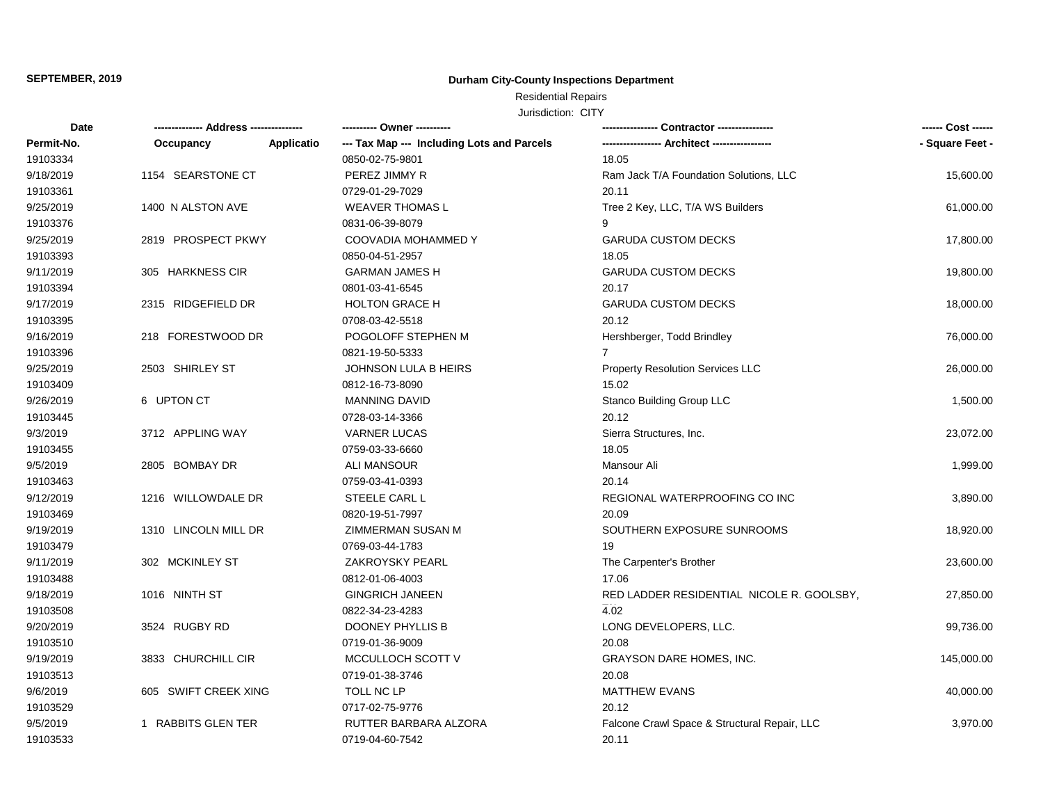### **Durham City-County Inspections Department**

## Residential Repairs

| Date       |                      |                   |                                            | Contractor ----------------                  | ------ Cost ------ |
|------------|----------------------|-------------------|--------------------------------------------|----------------------------------------------|--------------------|
| Permit-No. | Occupancy            | <b>Applicatio</b> | --- Tax Map --- Including Lots and Parcels |                                              | - Square Feet -    |
| 19103334   |                      |                   | 0850-02-75-9801                            | 18.05                                        |                    |
| 9/18/2019  | 1154 SEARSTONE CT    |                   | PEREZ JIMMY R                              | Ram Jack T/A Foundation Solutions, LLC       | 15,600.00          |
| 19103361   |                      |                   | 0729-01-29-7029                            | 20.11                                        |                    |
| 9/25/2019  | 1400 N ALSTON AVE    |                   | <b>WEAVER THOMAS L</b>                     | Tree 2 Key, LLC, T/A WS Builders             | 61,000.00          |
| 19103376   |                      |                   | 0831-06-39-8079                            | 9                                            |                    |
| 9/25/2019  | 2819 PROSPECT PKWY   |                   | COOVADIA MOHAMMED Y                        | <b>GARUDA CUSTOM DECKS</b>                   | 17,800.00          |
| 19103393   |                      |                   | 0850-04-51-2957                            | 18.05                                        |                    |
| 9/11/2019  | 305 HARKNESS CIR     |                   | <b>GARMAN JAMES H</b>                      | <b>GARUDA CUSTOM DECKS</b>                   | 19,800.00          |
| 19103394   |                      |                   | 0801-03-41-6545                            | 20.17                                        |                    |
| 9/17/2019  | 2315 RIDGEFIELD DR   |                   | <b>HOLTON GRACE H</b>                      | <b>GARUDA CUSTOM DECKS</b>                   | 18,000.00          |
| 19103395   |                      |                   | 0708-03-42-5518                            | 20.12                                        |                    |
| 9/16/2019  | 218 FORESTWOOD DR    |                   | POGOLOFF STEPHEN M                         | Hershberger, Todd Brindley                   | 76,000.00          |
| 19103396   |                      |                   | 0821-19-50-5333                            |                                              |                    |
| 9/25/2019  | 2503 SHIRLEY ST      |                   | JOHNSON LULA B HEIRS                       | <b>Property Resolution Services LLC</b>      | 26,000.00          |
| 19103409   |                      |                   | 0812-16-73-8090                            | 15.02                                        |                    |
| 9/26/2019  | 6 UPTON CT           |                   | <b>MANNING DAVID</b>                       | Stanco Building Group LLC                    | 1,500.00           |
| 19103445   |                      |                   | 0728-03-14-3366                            | 20.12                                        |                    |
| 9/3/2019   | 3712 APPLING WAY     |                   | <b>VARNER LUCAS</b>                        | Sierra Structures, Inc.                      | 23,072.00          |
| 19103455   |                      |                   | 0759-03-33-6660                            | 18.05                                        |                    |
| 9/5/2019   | 2805 BOMBAY DR       |                   | <b>ALI MANSOUR</b>                         | Mansour Ali                                  | 1,999.00           |
| 19103463   |                      |                   | 0759-03-41-0393                            | 20.14                                        |                    |
| 9/12/2019  | 1216 WILLOWDALE DR   |                   | STEELE CARL L                              | REGIONAL WATERPROOFING CO INC                | 3,890.00           |
| 19103469   |                      |                   | 0820-19-51-7997                            | 20.09                                        |                    |
| 9/19/2019  | 1310 LINCOLN MILL DR |                   | ZIMMERMAN SUSAN M                          | SOUTHERN EXPOSURE SUNROOMS                   | 18,920.00          |
| 19103479   |                      |                   | 0769-03-44-1783                            | 19                                           |                    |
| 9/11/2019  | 302 MCKINLEY ST      |                   | ZAKROYSKY PEARL                            | The Carpenter's Brother                      | 23,600.00          |
| 19103488   |                      |                   | 0812-01-06-4003                            | 17.06                                        |                    |
| 9/18/2019  | 1016 NINTH ST        |                   | <b>GINGRICH JANEEN</b>                     | RED LADDER RESIDENTIAL NICOLE R. GOOLSBY,    | 27,850.00          |
| 19103508   |                      |                   | 0822-34-23-4283                            | 4.02                                         |                    |
| 9/20/2019  | 3524 RUGBY RD        |                   | DOONEY PHYLLIS B                           | LONG DEVELOPERS, LLC.                        | 99,736.00          |
| 19103510   |                      |                   | 0719-01-36-9009                            | 20.08                                        |                    |
| 9/19/2019  | 3833 CHURCHILL CIR   |                   | MCCULLOCH SCOTT V                          | <b>GRAYSON DARE HOMES, INC.</b>              | 145,000.00         |
| 19103513   |                      |                   | 0719-01-38-3746                            | 20.08                                        |                    |
| 9/6/2019   | 605 SWIFT CREEK XING |                   | TOLL NC LP                                 | MATTHEW EVANS                                | 40,000.00          |
| 19103529   |                      |                   | 0717-02-75-9776                            | 20.12                                        |                    |
| 9/5/2019   | 1 RABBITS GLEN TER   |                   | RUTTER BARBARA ALZORA                      | Falcone Crawl Space & Structural Repair, LLC | 3,970.00           |
| 19103533   |                      |                   | 0719-04-60-7542                            | 20.11                                        |                    |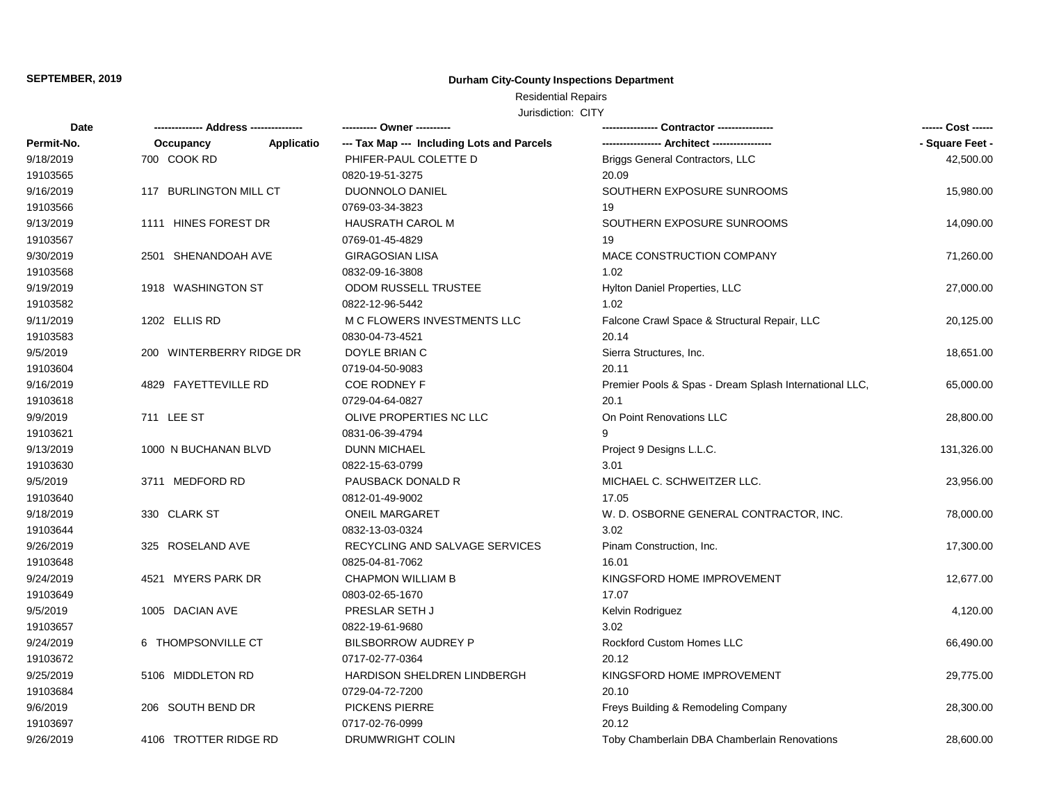### **Durham City-County Inspections Department**

# Residential Repairs

| Date       |                          |            | ---------- Owner ----------                |                                                        | ------ Cost ------ |
|------------|--------------------------|------------|--------------------------------------------|--------------------------------------------------------|--------------------|
| Permit-No. | Occupancy                | Applicatio | --- Tax Map --- Including Lots and Parcels | ---------------- Architect ----------------            | - Square Feet -    |
| 9/18/2019  | 700 COOK RD              |            | PHIFER-PAUL COLETTE D                      | <b>Briggs General Contractors, LLC</b>                 | 42,500.00          |
| 19103565   |                          |            | 0820-19-51-3275                            | 20.09                                                  |                    |
| 9/16/2019  | 117 BURLINGTON MILL CT   |            | <b>DUONNOLO DANIEL</b>                     | SOUTHERN EXPOSURE SUNROOMS                             | 15,980.00          |
| 19103566   |                          |            | 0769-03-34-3823                            | 19                                                     |                    |
| 9/13/2019  | 1111 HINES FOREST DR     |            | <b>HAUSRATH CAROL M</b>                    | SOUTHERN EXPOSURE SUNROOMS                             | 14,090.00          |
| 19103567   |                          |            | 0769-01-45-4829                            | 19                                                     |                    |
| 9/30/2019  | 2501 SHENANDOAH AVE      |            | <b>GIRAGOSIAN LISA</b>                     | MACE CONSTRUCTION COMPANY                              | 71,260.00          |
| 19103568   |                          |            | 0832-09-16-3808                            | 1.02                                                   |                    |
| 9/19/2019  | 1918 WASHINGTON ST       |            | <b>ODOM RUSSELL TRUSTEE</b>                | Hylton Daniel Properties, LLC                          | 27,000.00          |
| 19103582   |                          |            | 0822-12-96-5442                            | 1.02                                                   |                    |
| 9/11/2019  | 1202 ELLIS RD            |            | M C FLOWERS INVESTMENTS LLC                | Falcone Crawl Space & Structural Repair, LLC           | 20,125.00          |
| 19103583   |                          |            | 0830-04-73-4521                            | 20.14                                                  |                    |
| 9/5/2019   | 200 WINTERBERRY RIDGE DR |            | DOYLE BRIAN C                              | Sierra Structures, Inc.                                | 18,651.00          |
| 19103604   |                          |            | 0719-04-50-9083                            | 20.11                                                  |                    |
| 9/16/2019  | 4829 FAYETTEVILLE RD     |            | COE RODNEY F                               | Premier Pools & Spas - Dream Splash International LLC, | 65,000.00          |
| 19103618   |                          |            | 0729-04-64-0827                            | 20.1                                                   |                    |
| 9/9/2019   | 711 LEE ST               |            | OLIVE PROPERTIES NC LLC                    | On Point Renovations LLC                               | 28,800.00          |
| 19103621   |                          |            | 0831-06-39-4794                            |                                                        |                    |
| 9/13/2019  | 1000 N BUCHANAN BLVD     |            | <b>DUNN MICHAEL</b>                        | Project 9 Designs L.L.C.                               | 131,326.00         |
| 19103630   |                          |            | 0822-15-63-0799                            | 3.01                                                   |                    |
| 9/5/2019   | 3711 MEDFORD RD          |            | PAUSBACK DONALD R                          | MICHAEL C. SCHWEITZER LLC.                             | 23,956.00          |
| 19103640   |                          |            | 0812-01-49-9002                            | 17.05                                                  |                    |
| 9/18/2019  | 330 CLARK ST             |            | <b>ONEIL MARGARET</b>                      | W. D. OSBORNE GENERAL CONTRACTOR, INC.                 | 78,000.00          |
| 19103644   |                          |            | 0832-13-03-0324                            | 3.02                                                   |                    |
| 9/26/2019  | 325 ROSELAND AVE         |            | RECYCLING AND SALVAGE SERVICES             | Pinam Construction, Inc.                               | 17,300.00          |
| 19103648   |                          |            | 0825-04-81-7062                            | 16.01                                                  |                    |
| 9/24/2019  | 4521 MYERS PARK DR       |            | <b>CHAPMON WILLIAM B</b>                   | KINGSFORD HOME IMPROVEMENT                             | 12,677.00          |
| 19103649   |                          |            | 0803-02-65-1670                            | 17.07                                                  |                    |
| 9/5/2019   | 1005 DACIAN AVE          |            | PRESLAR SETH J                             | Kelvin Rodriguez                                       | 4,120.00           |
| 19103657   |                          |            | 0822-19-61-9680                            | 3.02                                                   |                    |
| 9/24/2019  | 6 THOMPSONVILLE CT       |            | <b>BILSBORROW AUDREY P</b>                 | Rockford Custom Homes LLC                              | 66,490.00          |
| 19103672   |                          |            | 0717-02-77-0364                            | 20.12                                                  |                    |
| 9/25/2019  | 5106 MIDDLETON RD        |            | <b>HARDISON SHELDREN LINDBERGH</b>         | KINGSFORD HOME IMPROVEMENT                             | 29,775.00          |
| 19103684   |                          |            | 0729-04-72-7200                            | 20.10                                                  |                    |
| 9/6/2019   | 206 SOUTH BEND DR        |            | PICKENS PIERRE                             | Freys Building & Remodeling Company                    | 28,300.00          |
| 19103697   |                          |            | 0717-02-76-0999                            | 20.12                                                  |                    |
| 9/26/2019  | 4106 TROTTER RIDGE RD    |            | DRUMWRIGHT COLIN                           | Toby Chamberlain DBA Chamberlain Renovations           | 28,600.00          |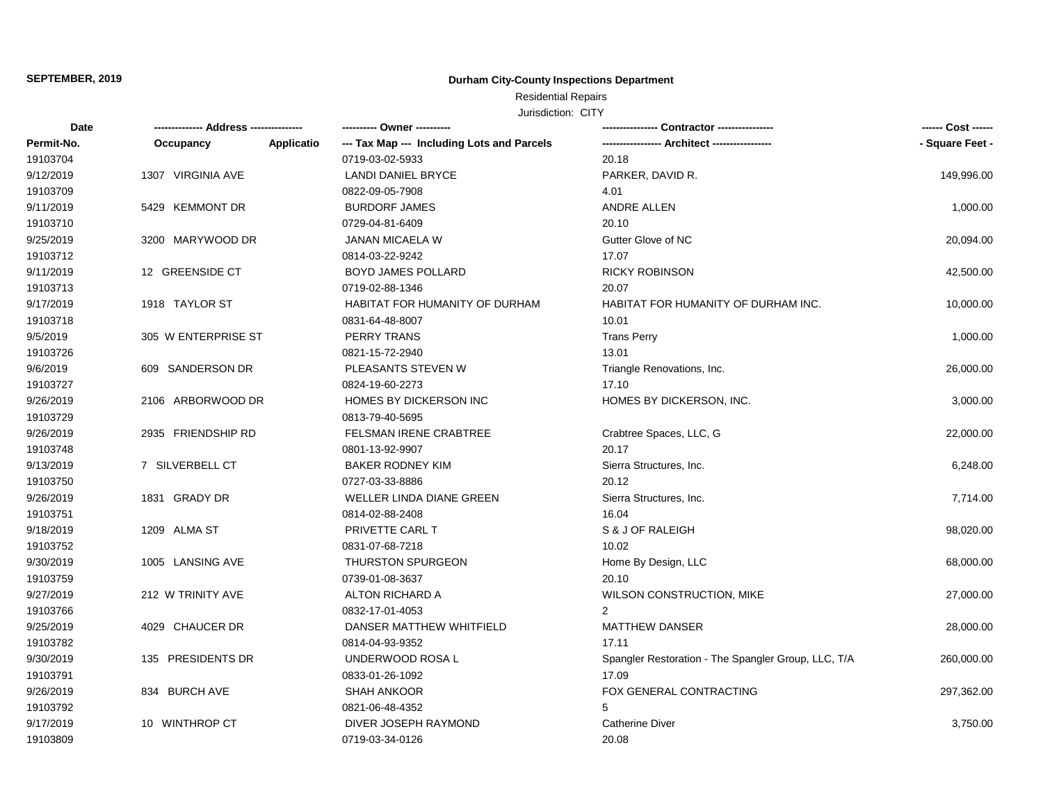### **Durham City-County Inspections Department**

# Residential Repairs

| Date       |                     |            | ---------- Owner ----------                |                                                     | ------ Cost ------ |
|------------|---------------------|------------|--------------------------------------------|-----------------------------------------------------|--------------------|
| Permit-No. | Occupancy           | Applicatio | --- Tax Map --- Including Lots and Parcels |                                                     | - Square Feet -    |
| 19103704   |                     |            | 0719-03-02-5933                            | 20.18                                               |                    |
| 9/12/2019  | 1307 VIRGINIA AVE   |            | <b>LANDI DANIEL BRYCE</b>                  | PARKER, DAVID R.                                    | 149,996.00         |
| 19103709   |                     |            | 0822-09-05-7908                            | 4.01                                                |                    |
| 9/11/2019  | 5429 KEMMONT DR     |            | <b>BURDORF JAMES</b>                       | <b>ANDRE ALLEN</b>                                  | 1,000.00           |
| 19103710   |                     |            | 0729-04-81-6409                            | 20.10                                               |                    |
| 9/25/2019  | 3200 MARYWOOD DR    |            | JANAN MICAELA W                            | Gutter Glove of NC                                  | 20,094.00          |
| 19103712   |                     |            | 0814-03-22-9242                            | 17.07                                               |                    |
| 9/11/2019  | 12 GREENSIDE CT     |            | <b>BOYD JAMES POLLARD</b>                  | <b>RICKY ROBINSON</b>                               | 42,500.00          |
| 19103713   |                     |            | 0719-02-88-1346                            | 20.07                                               |                    |
| 9/17/2019  | 1918 TAYLOR ST      |            | HABITAT FOR HUMANITY OF DURHAM             | <b>HABITAT FOR HUMANITY OF DURHAM INC.</b>          | 10,000.00          |
| 19103718   |                     |            | 0831-64-48-8007                            | 10.01                                               |                    |
| 9/5/2019   | 305 W ENTERPRISE ST |            | PERRY TRANS                                | <b>Trans Perry</b>                                  | 1,000.00           |
| 19103726   |                     |            | 0821-15-72-2940                            | 13.01                                               |                    |
| 9/6/2019   | 609 SANDERSON DR    |            | PLEASANTS STEVEN W                         | Triangle Renovations, Inc.                          | 26,000.00          |
| 19103727   |                     |            | 0824-19-60-2273                            | 17.10                                               |                    |
| 9/26/2019  | 2106 ARBORWOOD DR   |            | <b>HOMES BY DICKERSON INC</b>              | HOMES BY DICKERSON, INC.                            | 3,000.00           |
| 19103729   |                     |            | 0813-79-40-5695                            |                                                     |                    |
| 9/26/2019  | 2935 FRIENDSHIP RD  |            | FELSMAN IRENE CRABTREE                     | Crabtree Spaces, LLC, G                             | 22,000.00          |
| 19103748   |                     |            | 0801-13-92-9907                            | 20.17                                               |                    |
| 9/13/2019  | 7 SILVERBELL CT     |            | <b>BAKER RODNEY KIM</b>                    | Sierra Structures, Inc.                             | 6,248.00           |
| 19103750   |                     |            | 0727-03-33-8886                            | 20.12                                               |                    |
| 9/26/2019  | 1831 GRADY DR       |            | WELLER LINDA DIANE GREEN                   | Sierra Structures, Inc.                             | 7,714.00           |
| 19103751   |                     |            | 0814-02-88-2408                            | 16.04                                               |                    |
| 9/18/2019  | 1209 ALMA ST        |            | PRIVETTE CARL T                            | S & J OF RALEIGH                                    | 98,020.00          |
| 19103752   |                     |            | 0831-07-68-7218                            | 10.02                                               |                    |
| 9/30/2019  | 1005 LANSING AVE    |            | <b>THURSTON SPURGEON</b>                   | Home By Design, LLC                                 | 68,000.00          |
| 19103759   |                     |            | 0739-01-08-3637                            | 20.10                                               |                    |
| 9/27/2019  | 212 W TRINITY AVE   |            | <b>ALTON RICHARD A</b>                     | WILSON CONSTRUCTION, MIKE                           | 27,000.00          |
| 19103766   |                     |            | 0832-17-01-4053                            | 2                                                   |                    |
| 9/25/2019  | 4029 CHAUCER DR     |            | DANSER MATTHEW WHITFIELD                   | <b>MATTHEW DANSER</b>                               | 28,000.00          |
| 19103782   |                     |            | 0814-04-93-9352                            | 17.11                                               |                    |
| 9/30/2019  | 135 PRESIDENTS DR   |            | UNDERWOOD ROSA L                           | Spangler Restoration - The Spangler Group, LLC, T/A | 260,000.00         |
| 19103791   |                     |            | 0833-01-26-1092                            | 17.09                                               |                    |
| 9/26/2019  | 834 BURCH AVE       |            | <b>SHAH ANKOOR</b>                         | FOX GENERAL CONTRACTING                             | 297,362.00         |
| 19103792   |                     |            | 0821-06-48-4352                            | 5                                                   |                    |
| 9/17/2019  | 10 WINTHROP CT      |            | DIVER JOSEPH RAYMOND                       | <b>Catherine Diver</b>                              | 3,750.00           |
| 19103809   |                     |            | 0719-03-34-0126                            | 20.08                                               |                    |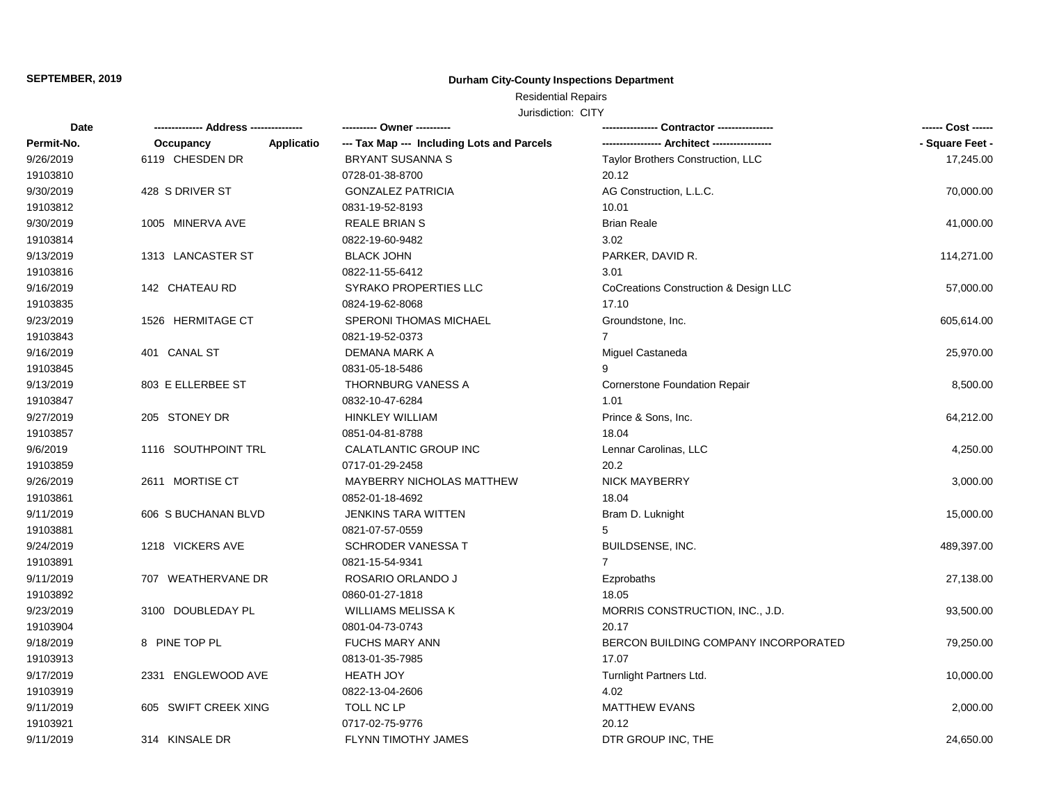### **Durham City-County Inspections Department**

## Residential Repairs

| Date       |                         | ---------- Owner ----------                |                                       | ------ Cost ------ |
|------------|-------------------------|--------------------------------------------|---------------------------------------|--------------------|
| Permit-No. | Occupancy<br>Applicatio | --- Tax Map --- Including Lots and Parcels |                                       | - Square Feet -    |
| 9/26/2019  | 6119 CHESDEN DR         | <b>BRYANT SUSANNA S</b>                    | Taylor Brothers Construction, LLC     | 17,245.00          |
| 19103810   |                         | 0728-01-38-8700                            | 20.12                                 |                    |
| 9/30/2019  | 428 S DRIVER ST         | <b>GONZALEZ PATRICIA</b>                   | AG Construction, L.L.C.               | 70,000.00          |
| 19103812   |                         | 0831-19-52-8193                            | 10.01                                 |                    |
| 9/30/2019  | 1005 MINERVA AVE        | <b>REALE BRIAN S</b>                       | <b>Brian Reale</b>                    | 41,000.00          |
| 19103814   |                         | 0822-19-60-9482                            | 3.02                                  |                    |
| 9/13/2019  | 1313 LANCASTER ST       | <b>BLACK JOHN</b>                          | PARKER, DAVID R.                      | 114,271.00         |
| 19103816   |                         | 0822-11-55-6412                            | 3.01                                  |                    |
| 9/16/2019  | 142 CHATEAU RD          | SYRAKO PROPERTIES LLC                      | CoCreations Construction & Design LLC | 57,000.00          |
| 19103835   |                         | 0824-19-62-8068                            | 17.10                                 |                    |
| 9/23/2019  | 1526 HERMITAGE CT       | SPERONI THOMAS MICHAEL                     | Groundstone, Inc.                     | 605,614.00         |
| 19103843   |                         | 0821-19-52-0373                            | $\overline{7}$                        |                    |
| 9/16/2019  | 401 CANAL ST            | DEMANA MARK A                              | Miguel Castaneda                      | 25,970.00          |
| 19103845   |                         | 0831-05-18-5486                            | g                                     |                    |
| 9/13/2019  | 803 E ELLERBEE ST       | <b>THORNBURG VANESS A</b>                  | <b>Cornerstone Foundation Repair</b>  | 8,500.00           |
| 19103847   |                         | 0832-10-47-6284                            | 1.01                                  |                    |
| 9/27/2019  | 205 STONEY DR           | <b>HINKLEY WILLIAM</b>                     | Prince & Sons, Inc.                   | 64,212.00          |
| 19103857   |                         | 0851-04-81-8788                            | 18.04                                 |                    |
| 9/6/2019   | 1116 SOUTHPOINT TRL     | CALATLANTIC GROUP INC                      | Lennar Carolinas, LLC                 | 4,250.00           |
| 19103859   |                         | 0717-01-29-2458                            | 20.2                                  |                    |
| 9/26/2019  | 2611 MORTISE CT         | MAYBERRY NICHOLAS MATTHEW                  | <b>NICK MAYBERRY</b>                  | 3,000.00           |
| 19103861   |                         | 0852-01-18-4692                            | 18.04                                 |                    |
| 9/11/2019  | 606 S BUCHANAN BLVD     | JENKINS TARA WITTEN                        | Bram D. Luknight                      | 15,000.00          |
| 19103881   |                         | 0821-07-57-0559                            | 5                                     |                    |
| 9/24/2019  | 1218 VICKERS AVE        | <b>SCHRODER VANESSA T</b>                  | BUILDSENSE, INC.                      | 489,397.00         |
| 19103891   |                         | 0821-15-54-9341                            | $\overline{7}$                        |                    |
| 9/11/2019  | 707 WEATHERVANE DR      | ROSARIO ORLANDO J                          | Ezprobaths                            | 27,138.00          |
| 19103892   |                         | 0860-01-27-1818                            | 18.05                                 |                    |
| 9/23/2019  | 3100 DOUBLEDAY PL       | <b>WILLIAMS MELISSA K</b>                  | MORRIS CONSTRUCTION, INC., J.D.       | 93,500.00          |
| 19103904   |                         | 0801-04-73-0743                            | 20.17                                 |                    |
| 9/18/2019  | 8 PINE TOP PL           | <b>FUCHS MARY ANN</b>                      | BERCON BUILDING COMPANY INCORPORATED  | 79,250.00          |
| 19103913   |                         | 0813-01-35-7985                            | 17.07                                 |                    |
| 9/17/2019  | 2331 ENGLEWOOD AVE      | <b>HEATH JOY</b>                           | Turnlight Partners Ltd.               | 10,000.00          |
| 19103919   |                         | 0822-13-04-2606                            | 4.02                                  |                    |
| 9/11/2019  | 605 SWIFT CREEK XING    | TOLL NC LP                                 | <b>MATTHEW EVANS</b>                  | 2,000.00           |
| 19103921   |                         | 0717-02-75-9776                            | 20.12                                 |                    |
| 9/11/2019  | 314 KINSALE DR          | FLYNN TIMOTHY JAMES                        | DTR GROUP INC, THE                    | 24,650.00          |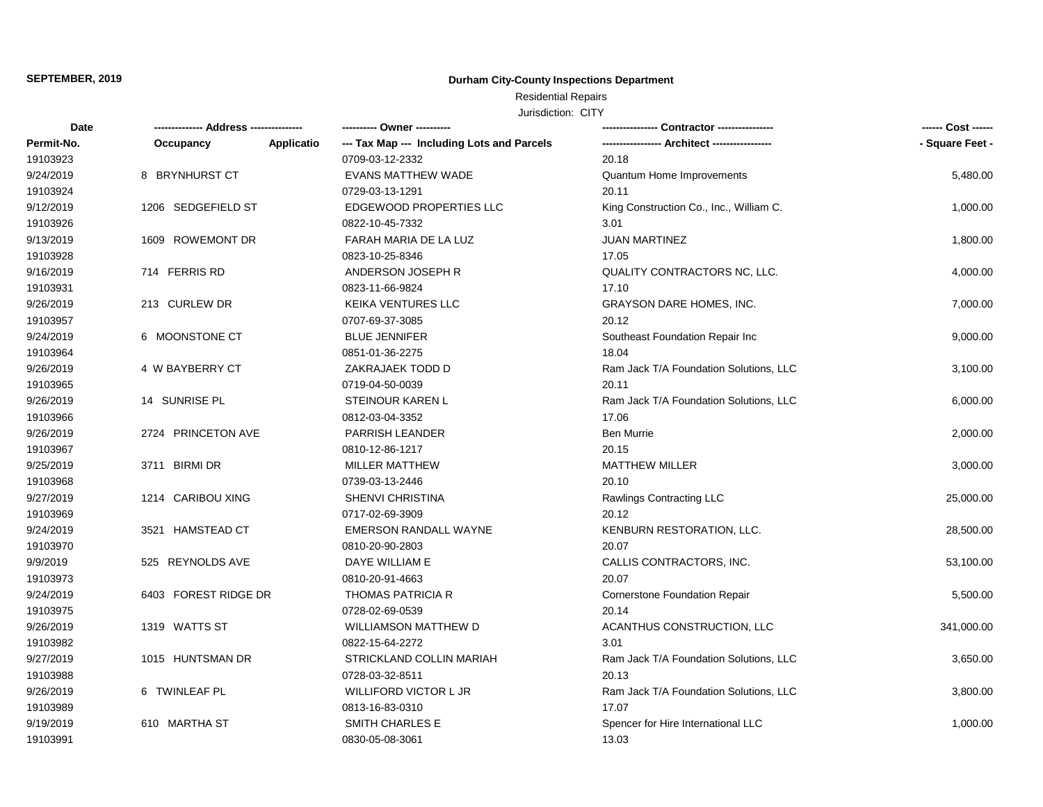### **Durham City-County Inspections Department**

## Residential Repairs

| Date       |                      |            | ---------- Owner ----------                |                                         | ------ Cost ------ |
|------------|----------------------|------------|--------------------------------------------|-----------------------------------------|--------------------|
| Permit-No. | Occupancy            | Applicatio | --- Tax Map --- Including Lots and Parcels | -- Architect -----------                | - Square Feet -    |
| 19103923   |                      |            | 0709-03-12-2332                            | 20.18                                   |                    |
| 9/24/2019  | 8 BRYNHURST CT       |            | <b>EVANS MATTHEW WADE</b>                  | Quantum Home Improvements               | 5,480.00           |
| 19103924   |                      |            | 0729-03-13-1291                            | 20.11                                   |                    |
| 9/12/2019  | 1206 SEDGEFIELD ST   |            | EDGEWOOD PROPERTIES LLC                    | King Construction Co., Inc., William C. | 1,000.00           |
| 19103926   |                      |            | 0822-10-45-7332                            | 3.01                                    |                    |
| 9/13/2019  | 1609 ROWEMONT DR     |            | FARAH MARIA DE LA LUZ                      | <b>JUAN MARTINEZ</b>                    | 1,800.00           |
| 19103928   |                      |            | 0823-10-25-8346                            | 17.05                                   |                    |
| 9/16/2019  | 714 FERRIS RD        |            | ANDERSON JOSEPH R                          | QUALITY CONTRACTORS NC, LLC.            | 4,000.00           |
| 19103931   |                      |            | 0823-11-66-9824                            | 17.10                                   |                    |
| 9/26/2019  | 213 CURLEW DR        |            | <b>KEIKA VENTURES LLC</b>                  | GRAYSON DARE HOMES, INC.                | 7,000.00           |
| 19103957   |                      |            | 0707-69-37-3085                            | 20.12                                   |                    |
| 9/24/2019  | 6 MOONSTONE CT       |            | <b>BLUE JENNIFER</b>                       | Southeast Foundation Repair Inc         | 9,000.00           |
| 19103964   |                      |            | 0851-01-36-2275                            | 18.04                                   |                    |
| 9/26/2019  | 4 W BAYBERRY CT      |            | ZAKRAJAEK TODD D                           | Ram Jack T/A Foundation Solutions, LLC  | 3,100.00           |
| 19103965   |                      |            | 0719-04-50-0039                            | 20.11                                   |                    |
| 9/26/2019  | 14 SUNRISE PL        |            | <b>STEINOUR KAREN L</b>                    | Ram Jack T/A Foundation Solutions, LLC  | 6,000.00           |
| 19103966   |                      |            | 0812-03-04-3352                            | 17.06                                   |                    |
| 9/26/2019  | 2724 PRINCETON AVE   |            | <b>PARRISH LEANDER</b>                     | <b>Ben Murrie</b>                       | 2,000.00           |
| 19103967   |                      |            | 0810-12-86-1217                            | 20.15                                   |                    |
| 9/25/2019  | 3711 BIRMI DR        |            | <b>MILLER MATTHEW</b>                      | <b>MATTHEW MILLER</b>                   | 3,000.00           |
| 19103968   |                      |            | 0739-03-13-2446                            | 20.10                                   |                    |
| 9/27/2019  | 1214 CARIBOU XING    |            | <b>SHENVI CHRISTINA</b>                    | Rawlings Contracting LLC                | 25,000.00          |
| 19103969   |                      |            | 0717-02-69-3909                            | 20.12                                   |                    |
| 9/24/2019  | 3521 HAMSTEAD CT     |            | <b>EMERSON RANDALL WAYNE</b>               | KENBURN RESTORATION, LLC.               | 28,500.00          |
| 19103970   |                      |            | 0810-20-90-2803                            | 20.07                                   |                    |
| 9/9/2019   | 525 REYNOLDS AVE     |            | DAYE WILLIAM E                             | CALLIS CONTRACTORS, INC.                | 53,100.00          |
| 19103973   |                      |            | 0810-20-91-4663                            | 20.07                                   |                    |
| 9/24/2019  | 6403 FOREST RIDGE DR |            | THOMAS PATRICIA R                          | Cornerstone Foundation Repair           | 5,500.00           |
| 19103975   |                      |            | 0728-02-69-0539                            | 20.14                                   |                    |
| 9/26/2019  | 1319 WATTS ST        |            | <b>WILLIAMSON MATTHEW D</b>                | ACANTHUS CONSTRUCTION, LLC              | 341,000.00         |
| 19103982   |                      |            | 0822-15-64-2272                            | 3.01                                    |                    |
| 9/27/2019  | 1015 HUNTSMAN DR     |            | STRICKLAND COLLIN MARIAH                   | Ram Jack T/A Foundation Solutions, LLC  | 3,650.00           |
| 19103988   |                      |            | 0728-03-32-8511                            | 20.13                                   |                    |
| 9/26/2019  | 6 TWINLEAF PL        |            | <b>WILLIFORD VICTOR L JR</b>               | Ram Jack T/A Foundation Solutions, LLC  | 3,800.00           |
| 19103989   |                      |            | 0813-16-83-0310                            | 17.07                                   |                    |
| 9/19/2019  | 610 MARTHA ST        |            | SMITH CHARLES E                            | Spencer for Hire International LLC      | 1,000.00           |
| 19103991   |                      |            | 0830-05-08-3061                            | 13.03                                   |                    |